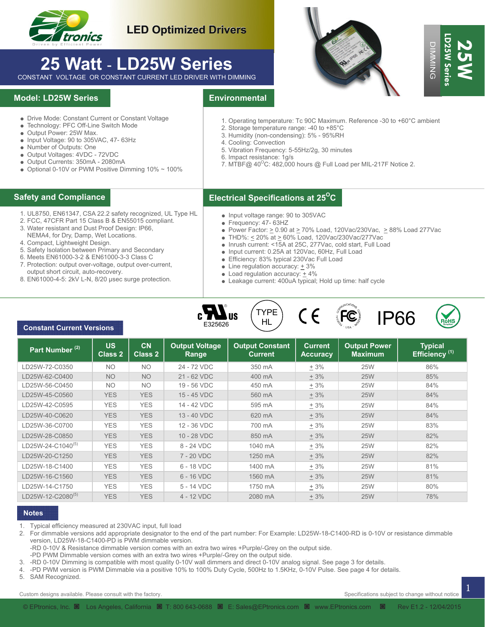

## **LED Optimized Drivers**

# **25 Watt** - **LD25W Series**

### **Model: LD25W Series**

- Drive Mode: Constant Current or Constant Voltage
- Technology: PFC Off-Line Switch Mode
- Output Power: 25W Max.
- Input Voltage: 90 to 305VAC, 47- 63Hz
- Number of Outputs: One
- Output Voltages: 4VDC 72VDC
- Output Currents: 350mA 2080mA
- $\bullet$  Optional 0-10V or PWM Positive Dimming 10%  $\sim$  100%

- 1. UL8750, EN61347, CSA 22.2 safety recognized, UL Type HL
- 2. FCC, 47CFR Part 15 Class B & EN55015 compliant.
- 3. Water resistant and Dust Proof Design: IP66,
- NEMA4, for Dry, Damp, Wet Locations.
- 4. Compact, Lightweight Design.

- 5. Safety Isolation between Primary and Secondary
- 6. Meets EN61000-3-2 & EN61000-3-3 Class C
- 7. Protection: output over-voltage, output over-current, output short circuit, auto-recovery.
- 8. EN61000-4-5: 2kV L-N, 8/20 µsec surge protection.





- 1. Operating temperature: Tc 90C Maximum. Reference -30 to +60°C ambient
- 2. Storage temperature range: -40 to +85°C
- 3. Humidity (non-condensing): 5% 95%RH
- 4. Cooling: Convection
- 5. Vibration Frequency: 5-55Hz/2g, 30 minutes
- 6. Impact resistance: 1g/s
- 7. MTBF@  $40^{\circ}$ C: 482,000 hours @ Full Load per MIL-217F Notice 2.

### **Electrical Specifications at 25O Safety and Compliance C**

- Input voltage range: 90 to 305VAC
- Frequency: 47- 63HZ
- Power Factor:  $\geq$  0.90 at  $\geq$  70% Load, 120Vac/230Vac,  $\geq$  88% Load 277Vac
- THD%:  $\leq$  20% at  $\geq$  60% Load, 120Vac/230Vac/277Vac
- Inrush current: <15A at 25C, 277Vac, cold start, Full Load
- Input current: 0.25A at 120Vac, 60Hz, Full Load
- Efficiency: 83% typical 230Vac Full Load
- Line regulation accuracy:  $\pm$  3%
- $\bullet$  Load regulation accuracy:  $+4\%$
- Leakage current: 400uA typical; Hold up time: half cycle









| Safety and Compliance                                                                                                                                                                                                                                                                                                                                                                                                                                                                                         |                             |                                                                                                                                                                                                                                                                                                                                |                                  |                                                                                                                                                                                                                                                                                                                                                                                                                                                                                                                           |                                   |                                                                                                                                                                                                                                                                                                                                                             |                                             |  |  |  |
|---------------------------------------------------------------------------------------------------------------------------------------------------------------------------------------------------------------------------------------------------------------------------------------------------------------------------------------------------------------------------------------------------------------------------------------------------------------------------------------------------------------|-----------------------------|--------------------------------------------------------------------------------------------------------------------------------------------------------------------------------------------------------------------------------------------------------------------------------------------------------------------------------|----------------------------------|---------------------------------------------------------------------------------------------------------------------------------------------------------------------------------------------------------------------------------------------------------------------------------------------------------------------------------------------------------------------------------------------------------------------------------------------------------------------------------------------------------------------------|-----------------------------------|-------------------------------------------------------------------------------------------------------------------------------------------------------------------------------------------------------------------------------------------------------------------------------------------------------------------------------------------------------------|---------------------------------------------|--|--|--|
|                                                                                                                                                                                                                                                                                                                                                                                                                                                                                                               |                             | • Drive Mode: Constant Current or Constant Voltage<br>• Technology: PFC Off-Line Switch Mode<br>• Output Power: 25W Max.<br>• Input Voltage: 90 to 305VAC, 47- 63Hz<br>• Number of Outputs: One<br>• Output Voltages: 4VDC - 72VDC<br>· Output Currents: 350mA - 2080mA<br>• Optional 0-10V or PWM Positive Dimming 10% ~ 100% |                                  |                                                                                                                                                                                                                                                                                                                                                                                                                                                                                                                           |                                   | 1. Operating temperature: Tc 90C Maximum. Reference -30 to +60°C ambient<br>2. Storage temperature range: -40 to +85°C<br>3. Humidity (non-condensing): 5% - 95%RH<br>4. Cooling: Convection<br>5. Vibration Frequency: 5-55Hz/2g, 30 minutes<br>6. Impact resistance: 1g/s<br>7. MTBF@ 40 <sup>o</sup> C: 482,000 hours @ Full Load per MIL-217F Notice 2. |                                             |  |  |  |
|                                                                                                                                                                                                                                                                                                                                                                                                                                                                                                               |                             |                                                                                                                                                                                                                                                                                                                                |                                  | <b>Electrical Specifications at 25<sup>o</sup>C</b>                                                                                                                                                                                                                                                                                                                                                                                                                                                                       |                                   |                                                                                                                                                                                                                                                                                                                                                             |                                             |  |  |  |
| 1. UL8750, EN61347, CSA 22.2 safety recognized, UL Type HL<br>2. FCC, 47CFR Part 15 Class B & EN55015 compliant.<br>3. Water resistant and Dust Proof Design: IP66,<br>NEMA4, for Dry, Damp, Wet Locations.<br>4. Compact, Lightweight Design.<br>5. Safety Isolation between Primary and Secondary<br>6. Meets EN61000-3-2 & EN61000-3-3 Class C<br>7. Protection: output over-voltage, output over-current,<br>output short circuit, auto-recovery.<br>8. EN61000-4-5: 2kV L-N, 8/20 usec surge protection. |                             |                                                                                                                                                                                                                                                                                                                                |                                  | • Input voltage range: 90 to 305VAC<br>• Frequency: 47- 63HZ<br>• Power Factor: $\geq$ 0.90 at $\geq$ 70% Load, 120Vac/230Vac, $\geq$ 88% Load 277Vac<br>● THD%: < 20% at > 60% Load, 120Vac/230Vac/277Vac<br>. Inrush current: <15A at 25C, 277Vac, cold start, Full Load<br>• Input current: 0.25A at 120Vac, 60Hz, Full Load<br>• Efficiency: 83% typical 230Vac Full Load<br>• Line regulation accuracy: $+3\%$<br>• Load regulation accuracy: $\pm$ 4%<br>• Leakage current: 400uA typical; Hold up time: half cycle |                                   |                                                                                                                                                                                                                                                                                                                                                             |                                             |  |  |  |
|                                                                                                                                                                                                                                                                                                                                                                                                                                                                                                               |                             | <b>CN</b>                                                                                                                                                                                                                                                                                                                      | E325626<br><b>Output Voltage</b> | <b>TYPE</b><br><b>US</b><br>HL                                                                                                                                                                                                                                                                                                                                                                                                                                                                                            |                                   | <b>FC</b><br><b>IP66</b>                                                                                                                                                                                                                                                                                                                                    |                                             |  |  |  |
| <b>Constant Current Versions</b>                                                                                                                                                                                                                                                                                                                                                                                                                                                                              |                             |                                                                                                                                                                                                                                                                                                                                |                                  |                                                                                                                                                                                                                                                                                                                                                                                                                                                                                                                           |                                   |                                                                                                                                                                                                                                                                                                                                                             |                                             |  |  |  |
| Part Number <sup>(2)</sup>                                                                                                                                                                                                                                                                                                                                                                                                                                                                                    | <b>US</b><br><b>Class 2</b> | <b>Class 2</b>                                                                                                                                                                                                                                                                                                                 | Range                            | <b>Output Constant</b><br><b>Current</b>                                                                                                                                                                                                                                                                                                                                                                                                                                                                                  | <b>Current</b><br><b>Accuracy</b> | <b>Output Power</b><br><b>Maximum</b>                                                                                                                                                                                                                                                                                                                       | <b>Typical</b><br>Efficiency <sup>(1)</sup> |  |  |  |
| LD25W-72-C0350                                                                                                                                                                                                                                                                                                                                                                                                                                                                                                | N <sub>O</sub>              | <b>NO</b>                                                                                                                                                                                                                                                                                                                      | 24 - 72 VDC                      | 350 mA                                                                                                                                                                                                                                                                                                                                                                                                                                                                                                                    | $+3%$                             | <b>25W</b>                                                                                                                                                                                                                                                                                                                                                  | 86%                                         |  |  |  |
|                                                                                                                                                                                                                                                                                                                                                                                                                                                                                                               | <b>NO</b>                   | <b>NO</b>                                                                                                                                                                                                                                                                                                                      | 21 - 62 VDC                      | 400 mA                                                                                                                                                                                                                                                                                                                                                                                                                                                                                                                    | ± 3%                              | <b>25W</b>                                                                                                                                                                                                                                                                                                                                                  | 85%                                         |  |  |  |
|                                                                                                                                                                                                                                                                                                                                                                                                                                                                                                               | <b>NO</b>                   | <b>NO</b>                                                                                                                                                                                                                                                                                                                      | 19 - 56 VDC                      | 450 mA                                                                                                                                                                                                                                                                                                                                                                                                                                                                                                                    | $+3%$                             | <b>25W</b>                                                                                                                                                                                                                                                                                                                                                  | 84%                                         |  |  |  |
|                                                                                                                                                                                                                                                                                                                                                                                                                                                                                                               | <b>YES</b>                  | <b>YES</b>                                                                                                                                                                                                                                                                                                                     | 15 - 45 VDC                      | 560 mA                                                                                                                                                                                                                                                                                                                                                                                                                                                                                                                    | ± 3%                              | 25W                                                                                                                                                                                                                                                                                                                                                         | 84%                                         |  |  |  |
|                                                                                                                                                                                                                                                                                                                                                                                                                                                                                                               | <b>YES</b>                  | <b>YES</b>                                                                                                                                                                                                                                                                                                                     | 14 - 42 VDC                      | 595 mA                                                                                                                                                                                                                                                                                                                                                                                                                                                                                                                    | $+3%$                             | <b>25W</b>                                                                                                                                                                                                                                                                                                                                                  | 84%                                         |  |  |  |
|                                                                                                                                                                                                                                                                                                                                                                                                                                                                                                               | <b>YES</b>                  | <b>YES</b>                                                                                                                                                                                                                                                                                                                     | 13 - 40 VDC                      | 620 mA                                                                                                                                                                                                                                                                                                                                                                                                                                                                                                                    | ± 3%                              | <b>25W</b>                                                                                                                                                                                                                                                                                                                                                  | 84%                                         |  |  |  |
|                                                                                                                                                                                                                                                                                                                                                                                                                                                                                                               | <b>YES</b>                  | <b>YES</b>                                                                                                                                                                                                                                                                                                                     | 12 - 36 VDC<br>10 - 28 VDC       | 700 mA<br>850 mA                                                                                                                                                                                                                                                                                                                                                                                                                                                                                                          | ± 3%                              | <b>25W</b><br><b>25W</b>                                                                                                                                                                                                                                                                                                                                    | 83%<br>82%                                  |  |  |  |
|                                                                                                                                                                                                                                                                                                                                                                                                                                                                                                               | <b>YES</b><br><b>YES</b>    | <b>YES</b><br><b>YES</b>                                                                                                                                                                                                                                                                                                       | 8 - 24 VDC                       | 1040 mA                                                                                                                                                                                                                                                                                                                                                                                                                                                                                                                   | ± 3%<br>± 3%                      | 25W                                                                                                                                                                                                                                                                                                                                                         | 82%                                         |  |  |  |
|                                                                                                                                                                                                                                                                                                                                                                                                                                                                                                               | <b>YES</b>                  | <b>YES</b>                                                                                                                                                                                                                                                                                                                     | 7 - 20 VDC                       | 1250 mA                                                                                                                                                                                                                                                                                                                                                                                                                                                                                                                   | ± 3%                              | 25W                                                                                                                                                                                                                                                                                                                                                         | 82%                                         |  |  |  |
|                                                                                                                                                                                                                                                                                                                                                                                                                                                                                                               | <b>YES</b>                  | <b>YES</b>                                                                                                                                                                                                                                                                                                                     | 6 - 18 VDC                       | 1400 mA                                                                                                                                                                                                                                                                                                                                                                                                                                                                                                                   | $+3%$                             | <b>25W</b>                                                                                                                                                                                                                                                                                                                                                  | 81%                                         |  |  |  |
| LD25W-62-C0400<br>LD25W-56-C0450<br>LD25W-45-C0560<br>LD25W-42-C0595<br>LD25W-40-C0620<br>LD25W-36-C0700<br>LD25W-28-C0850<br>LD25W-24-C1040 <sup>(5)</sup><br>LD25W-20-C1250<br>LD25W-18-C1400<br>LD25W-16-C1560                                                                                                                                                                                                                                                                                             | <b>YES</b>                  | <b>YES</b>                                                                                                                                                                                                                                                                                                                     | 6 - 16 VDC                       | 1560 mA                                                                                                                                                                                                                                                                                                                                                                                                                                                                                                                   | ± 3%                              | 25W                                                                                                                                                                                                                                                                                                                                                         | 81%                                         |  |  |  |
| LD25W-14-C1750                                                                                                                                                                                                                                                                                                                                                                                                                                                                                                | <b>YES</b>                  | <b>YES</b>                                                                                                                                                                                                                                                                                                                     | 5 - 14 VDC                       | 1750 mA                                                                                                                                                                                                                                                                                                                                                                                                                                                                                                                   | $+3%$                             | <b>25W</b>                                                                                                                                                                                                                                                                                                                                                  | 80%                                         |  |  |  |

### **Notes**

- 2. For dimmable versions add appropriate designator to the end of the part number: For Example: LD25W-18-C1400-RD is 0-10V or resistance dimmable version, LD25W-18-C1400-PD is PWM dimmable version.
- -RD 0-10V & Resistance dimmable version comes with an extra two wires +Purple/-Grey on the output side.
- -PD PWM Dimmable version comes with an extra two wires +Purple/-Grey on the output side.
- 3. -RD 0-10V Dimming is compatible with most quality 0-10V wall dimmers and direct 0-10V analog signal. See page 3 for details.
- 4. -PD PWM version is PWM Dimmable via a positive 10% to 100% Duty Cycle, 500Hz to 1.5KHz, 0-10V Pulse. See page 4 for details.
- 5. SAM Recognized.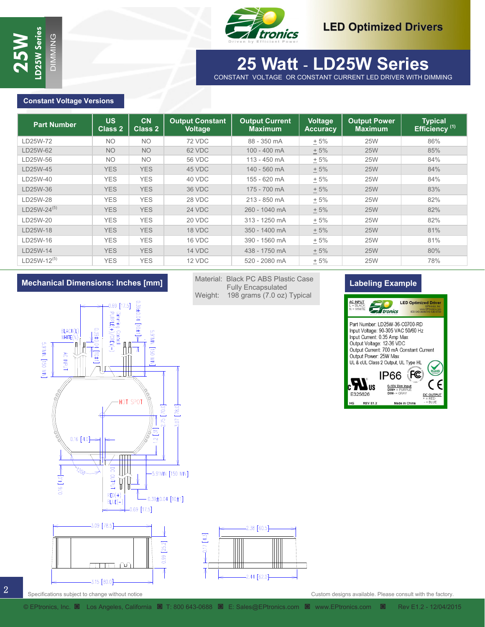



# **30 Watt - LD30W Series 25 Watt** - **LD25W Series**

### **Constant Voltage Versions**

| <b>Constant Voltage Versions</b>                                                                                                                            |                                                                                                                 |                                                                                                            |                                                              |                                                                                                |                                   |                                                                                                                                                                                                                                                                                                                                                                                    |                                                                                                                                       |
|-------------------------------------------------------------------------------------------------------------------------------------------------------------|-----------------------------------------------------------------------------------------------------------------|------------------------------------------------------------------------------------------------------------|--------------------------------------------------------------|------------------------------------------------------------------------------------------------|-----------------------------------|------------------------------------------------------------------------------------------------------------------------------------------------------------------------------------------------------------------------------------------------------------------------------------------------------------------------------------------------------------------------------------|---------------------------------------------------------------------------------------------------------------------------------------|
| <b>Part Number</b>                                                                                                                                          | <b>US</b><br><b>Class 2</b>                                                                                     | <b>CN</b><br><b>Class 2</b>                                                                                | <b>Output Constant</b><br><b>Voltage</b>                     | <b>Output Current</b><br><b>Maximum</b>                                                        | <b>Voltage</b><br><b>Accuracy</b> | <b>Output Power</b><br><b>Maximum</b>                                                                                                                                                                                                                                                                                                                                              | <b>Typical</b><br>Efficiency <sup>(1)</sup>                                                                                           |
| LD25W-72                                                                                                                                                    | <b>NO</b>                                                                                                       | <b>NO</b>                                                                                                  | 72 VDC                                                       | 88 - 350 mA                                                                                    | $+5%$                             | <b>25W</b>                                                                                                                                                                                                                                                                                                                                                                         | 86%                                                                                                                                   |
| LD25W-62                                                                                                                                                    | <b>NO</b>                                                                                                       | <b>NO</b>                                                                                                  | 62 VDC                                                       | 100 - 400 mA                                                                                   | $+5%$                             | <b>25W</b>                                                                                                                                                                                                                                                                                                                                                                         | 85%                                                                                                                                   |
| LD25W-56                                                                                                                                                    | <b>NO</b>                                                                                                       | <b>NO</b>                                                                                                  | <b>56 VDC</b>                                                | 113 - 450 mA                                                                                   | $+5%$                             | <b>25W</b>                                                                                                                                                                                                                                                                                                                                                                         | 84%                                                                                                                                   |
| LD25W-45                                                                                                                                                    | <b>YES</b>                                                                                                      | <b>YES</b>                                                                                                 | 45 VDC                                                       | 140 - 560 mA                                                                                   | ± 5%                              | <b>25W</b>                                                                                                                                                                                                                                                                                                                                                                         | 84%                                                                                                                                   |
| LD25W-40                                                                                                                                                    | <b>YES</b>                                                                                                      | <b>YES</b>                                                                                                 | 40 VDC                                                       | 155 - 620 mA                                                                                   | $+5%$                             | <b>25W</b>                                                                                                                                                                                                                                                                                                                                                                         | 84%                                                                                                                                   |
| LD25W-36                                                                                                                                                    | <b>YES</b>                                                                                                      | <b>YES</b>                                                                                                 | 36 VDC                                                       | 175 - 700 mA                                                                                   | ± 5%                              | <b>25W</b>                                                                                                                                                                                                                                                                                                                                                                         | 83%                                                                                                                                   |
| LD25W-28                                                                                                                                                    | <b>YES</b>                                                                                                      | <b>YES</b>                                                                                                 | 28 VDC                                                       | 213 - 850 mA                                                                                   | $+5%$                             | <b>25W</b>                                                                                                                                                                                                                                                                                                                                                                         | 82%                                                                                                                                   |
| LD25W-24(5)                                                                                                                                                 | <b>YES</b>                                                                                                      | <b>YES</b>                                                                                                 | 24 VDC                                                       | 260 - 1040 mA                                                                                  | ± 5%                              | <b>25W</b>                                                                                                                                                                                                                                                                                                                                                                         | 82%                                                                                                                                   |
| LD25W-20                                                                                                                                                    | <b>YES</b>                                                                                                      | <b>YES</b>                                                                                                 | 20 VDC                                                       | 313 - 1250 mA                                                                                  | $+5%$                             | <b>25W</b>                                                                                                                                                                                                                                                                                                                                                                         | 82%                                                                                                                                   |
| LD25W-18                                                                                                                                                    | <b>YES</b>                                                                                                      | <b>YES</b>                                                                                                 | 18 VDC                                                       | 350 - 1400 mA                                                                                  | ± 5%                              | <b>25W</b>                                                                                                                                                                                                                                                                                                                                                                         | 81%                                                                                                                                   |
| LD25W-16                                                                                                                                                    | <b>YES</b>                                                                                                      | <b>YES</b>                                                                                                 | 16 VDC                                                       | 390 - 1560 mA                                                                                  | $+5%$                             | <b>25W</b>                                                                                                                                                                                                                                                                                                                                                                         | 81%                                                                                                                                   |
| LD25W-14                                                                                                                                                    | <b>YES</b>                                                                                                      | <b>YES</b>                                                                                                 | 14 VDC                                                       | 438 - 1750 mA                                                                                  | ± 5%                              | <b>25W</b>                                                                                                                                                                                                                                                                                                                                                                         | 80%                                                                                                                                   |
| LD25W-12(5)                                                                                                                                                 | <b>YES</b>                                                                                                      | <b>YES</b>                                                                                                 | 12 VDC                                                       | 520 - 2080 mA                                                                                  |                                   |                                                                                                                                                                                                                                                                                                                                                                                    |                                                                                                                                       |
|                                                                                                                                                             | $0.69$ [17.5]                                                                                                   |                                                                                                            | Weight:                                                      | Material: Black PC ABS Plastic Case<br><b>Fully Encapsulated</b><br>198 grams (7.0 oz) Typical | $+5%$                             | <b>25W</b><br><b>Labeling Example</b><br>$\frac{\text{AC INPUT}}{\text{L} = \text{BLACK}}$<br>$V = WHTE$<br><i>A</i> tronics<br>Part Number: LD25W-36-C0700-RD                                                                                                                                                                                                                     | 78%<br><b>LED Optimized Driver</b><br>www.EPtronics.com<br>000 643-0688/310 536-070                                                   |
| <b>Mechanical Dimensions: Inches [mm]</b><br>BLACK(L)<br>WHITE(N<br>ENIM OSLE NIMI6'S<br>AC INPUT<br>$0.16 [4.0] \rightarrow$<br>$0.16$ [4.0] $\Rightarrow$ | Dimming Control<br>PURPLE(+)/GREY(-)<br>0.39±0.04<br>[170]<br>DC OUTPUT<br>$\mathbb I$<br>$RED(+)$<br>$BLUE(-)$ | $[1+01]$ +00+620<br><b>5.91MIN [150</b><br>$\sum_{i=1}^{n}$<br>HOT SPOT<br>$2.75$ [70.0]<br>$\overline{2}$ | 3.07 [78.0]<br>$-5.91$ MIN [150 MIN]<br>$0.39\pm0.04$ [10±1] |                                                                                                |                                   | Input Voltage: 90-305 VAC 50/60 Hz<br>Input Current: 0.35 Amp Max<br>Output Voltage: 12-36 VDC<br>Output Current: 700 mA Constant Current<br>Output Power: 25W Max<br>UL & cUL Class 2 Output, UL Type HL<br><b>IP66</b><br>$\mathbf{u}_\text{us}$<br>$\frac{\text{0-10V Dim Input}}{\text{DIM}+} = \text{PURPLE}}{\text{DIM}+} = \text{GRAY}$<br>E325626<br>HG<br><b>REV E1.2</b> | <b>RoHS</b><br>FC<br>$\epsilon$<br>$\frac{\mathsf{DC}\,\, \mathsf{OUTPUT}}{\mathsf{F} = \mathsf{RED}}$<br>$-$ = BLUE<br>Made in China |

### **Mechanical Dimensions: Inches [mm]**







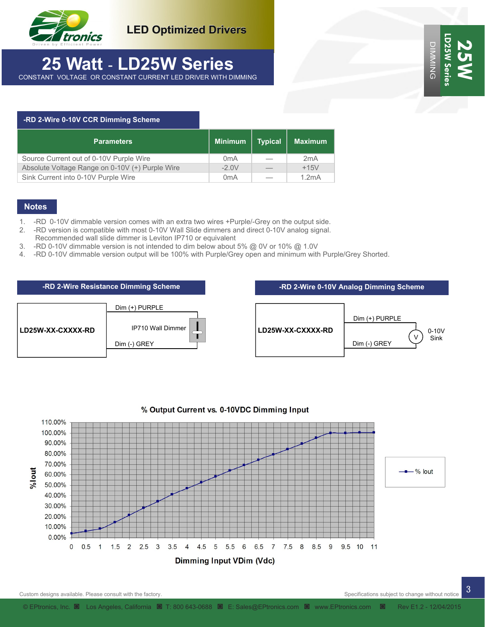

**LED Optimized Drivers**

## **25 Watt** - **LD25W Series**  CONSTANT VOLTAGE OR CONSTANT CURRENT LED DRIVER WITH DIMMING

| -RD 2-Wire 0-10V CCR Dimming Scheme             |                  |                |                |
|-------------------------------------------------|------------------|----------------|----------------|
| <b>Parameters</b>                               | <b>Minimum</b>   | <b>Typical</b> | <b>Maximum</b> |
| Source Current out of 0-10V Purple Wire         | 0 <sub>m</sub> A |                | 2mA            |
| Absolute Voltage Range on 0-10V (+) Purple Wire | $-2.0V$          |                | $+15V$         |
| Sink Current into 0-10V Purple Wire             | 0 <sub>m</sub> A |                | 1.2mA          |

### **Notes**

- 1. -RD 0-10V dimmable version comes with an extra two wires +Purple/-Grey on the output side.
- 2. -RD version is compatible with most 0-10V Wall Slide dimmers and direct 0-10V analog signal.
- Recommended wall slide dimmer is Leviton IP710 or equivalent
- 3. -RD 0-10V dimmable version is not intended to dim below about 5% @ 0V or 10% @ 1.0V
- 4. -RD 0-10V dimmable version output will be 100% with Purple/Grey open and minimum with Purple/Grey Shorted.





### % Output Current vs. 0-10VDC Dimming Input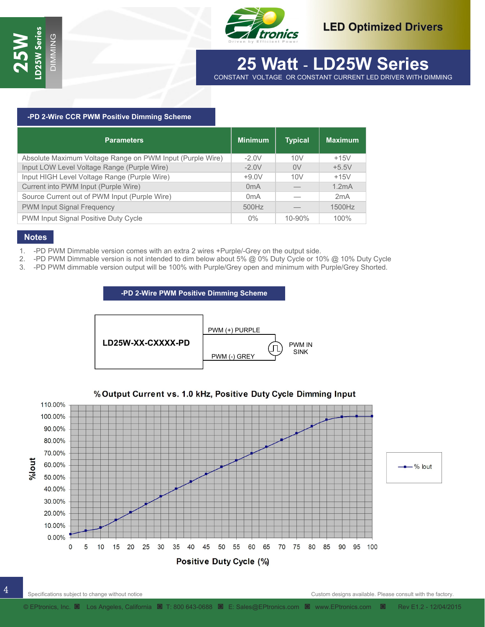

# **30 Watt - LD30W Series 25 Watt** - **LD25W Series**

CONSTANT VOLTAGE OR CONSTANT CURRENT LED DRIVER WITH DIMMING MING

### **-PD 2-Wire CCR PWM Positive Dimming Scheme**

| <b>Parameters</b>                                         | <b>Minimum</b>   | <b>Typical</b> | <b>Maximum</b> |
|-----------------------------------------------------------|------------------|----------------|----------------|
| Absolute Maximum Voltage Range on PWM Input (Purple Wire) | $-2.0V$          | 10V            | $+15V$         |
| Input LOW Level Voltage Range (Purple Wire)               | $-2.0V$          | 0V             | $+5.5V$        |
| Input HIGH Level Voltage Range (Purple Wire)              | $+9.0V$          | 10V            | $+15V$         |
| Current into PWM Input (Purple Wire)                      | 0 <sub>m</sub> A |                | 1.2mA          |
| Source Current out of PWM Input (Purple Wire)             | 0 <sub>m</sub> A |                | 2mA            |
| PWM Input Signal Frequency                                | 500Hz            |                | 1500Hz         |
| PWM Input Signal Positive Duty Cycle                      | $0\%$            | $10 - 90\%$    | 100%           |

### **Notes**

- 1. -PD PWM Dimmable version comes with an extra 2 wires +Purple/-Grey on the output side.
- 2. -PD PWM Dimmable version is not intended to dim below about 5% @ 0% Duty Cycle or 10% @ 10% Duty Cycle
- 3. -PD PWM dimmable version output will be 100% with Purple/Grey open and minimum with Purple/Grey Shorted.

### **-PD 2-Wire PWM Positive Dimming Scheme**



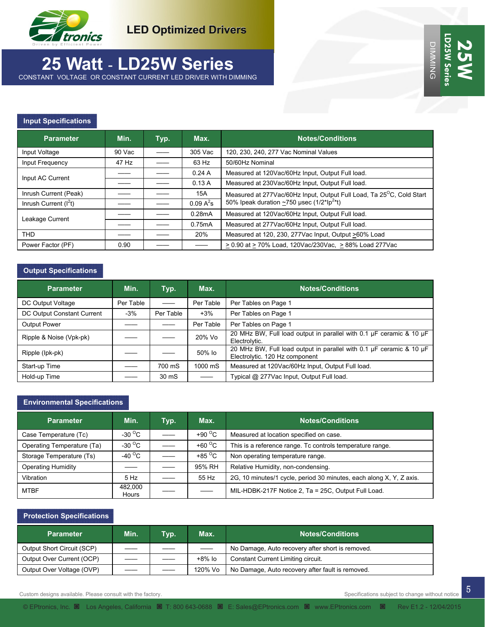

# **25 Watt** - **LD25W Series**

CONSTANT VOLTAGE OR CONSTANT CURRENT LED DRIVER WITH DIMMING

### **Input Specifications**

| <b>Parameter</b>       | Min.   | Typ. | Max.        | <b>Notes/Conditions</b>                                               |
|------------------------|--------|------|-------------|-----------------------------------------------------------------------|
| Input Voltage          | 90 Vac |      | 305 Vac     | 120, 230, 240, 277 Vac Nominal Values                                 |
| Input Frequency        | 47 Hz  |      | 63 Hz       | 50/60Hz Nominal                                                       |
| Input AC Current       |        |      | 0.24A       | Measured at 120Vac/60Hz Input, Output Full load.                      |
|                        |        |      | 0.13A       | Measured at 230Vac/60Hz Input, Output Full load.                      |
| Inrush Current (Peak)  |        |      | 15A         | Measured at 277Vac/60Hz Input, Output Full Load, Ta 25°C, Cold Start  |
| Inrush Current $(I2t)$ |        |      | $0.09 A^2s$ | 50% Ipeak duration $\sim$ 750 usec (1/2*Ip <sup>2*t</sup> )           |
|                        |        |      | 0.28mA      | Measured at 120Vac/60Hz Input, Output Full load.                      |
| Leakage Current        |        |      | 0.75mA      | Measured at 277Vac/60Hz Input, Output Full load.                      |
| <b>THD</b>             |        |      | 20%         | Measured at 120, 230, 277Vac Input, Output >60% Load                  |
| Power Factor (PF)      | 0.90   |      |             | $\geq$ 0.90 at $\geq$ 70% Load, 120Vac/230Vac, $\geq$ 88% Load 277Vac |

### **Output Specifications**

| <b>Parameter</b>           | Min.      | Typ.      | Max.                     | <b>Notes/Conditions</b>                                                                               |
|----------------------------|-----------|-----------|--------------------------|-------------------------------------------------------------------------------------------------------|
| DC Output Voltage          | Per Table |           | Per Table                | Per Tables on Page 1                                                                                  |
| DC Output Constant Current | $-3%$     | Per Table | $+3%$                    | Per Tables on Page 1                                                                                  |
| <b>Output Power</b>        |           |           | Per Table                | Per Tables on Page 1                                                                                  |
| Ripple & Noise (Vpk-pk)    |           |           | 20% Vo                   | 20 MHz BW, Full load output in parallel with 0.1 µF ceramic & 10 µF<br>Electrolytic.                  |
| Ripple (lpk-pk)            |           |           | 50% lo                   | 20 MHz BW, Full load output in parallel with 0.1 µF ceramic & 10 µF<br>Electrolytic. 120 Hz component |
| Start-up Time              |           | 700 mS    | 1000 mS                  | Measured at 120Vac/60Hz Input, Output Full load.                                                      |
| Hold-up Time               |           | 30 mS     | $\overline{\phantom{0}}$ | Typical @ 277Vac Input, Output Full load.                                                             |

### **Environmental Specifications**

| <b>Parameter</b>           | Min.                     | Typ. | Max.                     | <b>Notes/Conditions</b>                                             |
|----------------------------|--------------------------|------|--------------------------|---------------------------------------------------------------------|
| Case Temperature (Tc)      | -30 $^{\circ}$ C         |      | +90 $\degree$ C          | Measured at location specified on case.                             |
| Operating Temperature (Ta) | -30 $\mathrm{^{\circ}C}$ |      | +60 $\degree$ C          | This is a reference range. To controls temperature range.           |
| Storage Temperature (Ts)   | -40 $^{\circ}$ C         |      | +85 $\mathrm{^{\circ}C}$ | Non operating temperature range.                                    |
| <b>Operating Humidity</b>  |                          |      | 95% RH                   | Relative Humidity, non-condensing.                                  |
| Vibration                  | 5 Hz                     |      | 55 Hz                    | 2G, 10 minutes/1 cycle, period 30 minutes, each along X, Y, Z axis. |
| <b>MTBF</b>                | 482.000<br>Hours         |      |                          | MIL-HDBK-217F Notice 2, Ta = 25C, Output Full Load.                 |

### **Protection Specifications**

| <b>Parameter</b>           | Min. | Typ. | Max.    | <b>Notes/Conditions</b>                          |
|----------------------------|------|------|---------|--------------------------------------------------|
| Output Short Circuit (SCP) |      |      |         | No Damage, Auto recovery after short is removed. |
| Output Over Current (OCP)  |      |      | +8% lo  | Constant Current Limiting circuit.               |
| Output Over Voltage (OVP)  |      |      | 120% Vo | No Damage, Auto recovery after fault is removed. |

Custom designs available. Please consult with the factory. Specifications subject to change without notice of the factory.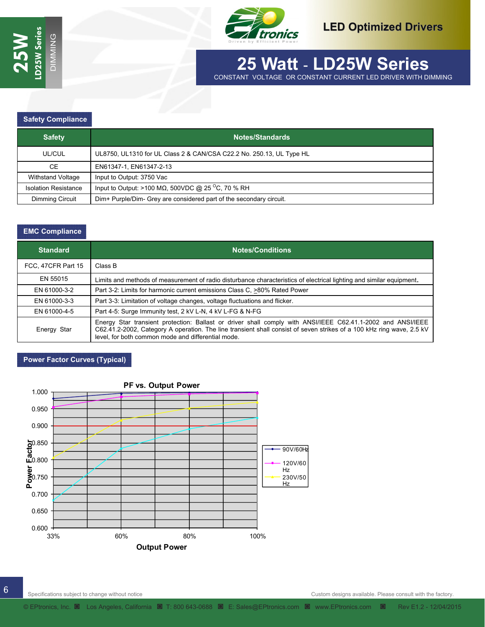

## **30 Watt - LD30W Series 25 Watt** - **LD25W Series**  CONSTANT VOLTAGE OR CONSTANT CURRENT LED DRIVER WITH DIMMING

### **Safety Compliance**

| <b>Safety</b>               | Notes/Standards                                                        |
|-----------------------------|------------------------------------------------------------------------|
| UL/CUL                      | UL8750, UL1310 for UL Class 2 & CAN/CSA C22.2 No. 250.13, UL Type HL   |
| <b>CE</b>                   | EN61347-1, EN61347-2-13                                                |
| Withstand Voltage           | Input to Output: 3750 Vac                                              |
| <b>Isolation Resistance</b> | Input to Output: >100 M $\Omega$ , 500VDC @ 25 <sup>o</sup> C, 70 % RH |
| <b>Dimming Circuit</b>      | Dim+ Purple/Dim- Grey are considered part of the secondary circuit.    |

MING

### **EMC Compliance**

| <b>Standard</b>    | <b>Notes/Conditions</b>                                                                                                                                                                                                                                                                    |
|--------------------|--------------------------------------------------------------------------------------------------------------------------------------------------------------------------------------------------------------------------------------------------------------------------------------------|
| FCC, 47CFR Part 15 | Class B                                                                                                                                                                                                                                                                                    |
| EN 55015           | Limits and methods of measurement of radio disturbance characteristics of electrical lighting and similar equipment.                                                                                                                                                                       |
| EN 61000-3-2       | Part 3-2: Limits for harmonic current emissions Class C, >80% Rated Power                                                                                                                                                                                                                  |
| EN 61000-3-3       | Part 3-3: Limitation of voltage changes, voltage fluctuations and flicker.                                                                                                                                                                                                                 |
| EN 61000-4-5       | Part 4-5: Surge Immunity test, 2 kV L-N, 4 kV L-FG & N-FG                                                                                                                                                                                                                                  |
| Energy Star        | Energy Star transient protection: Ballast or driver shall comply with ANSI/IEEE C62.41.1-2002 and ANSI/IEEE<br>C62.41.2-2002, Category A operation. The line transient shall consist of seven strikes of a 100 kHz ring wave, 2.5 kV<br>level, for both common mode and differential mode. |

### **Power Factor Curves (Typical)**

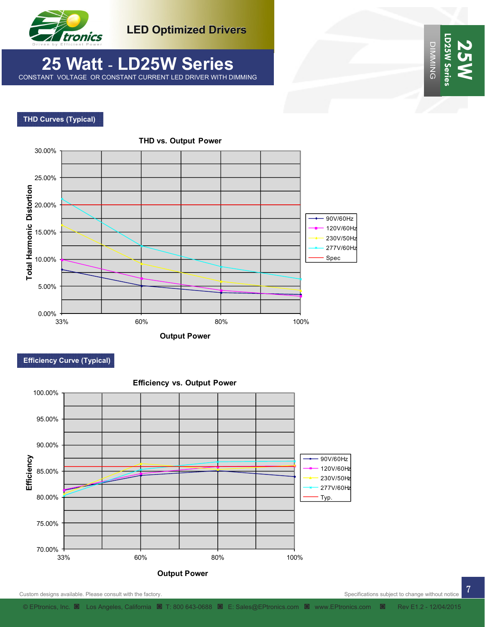

**LED Optimized Drivers**

## **25 Watt** - **LD25W Series**  CONSTANT VOLTAGE OR CONSTANT CURRENT LED DRIVER WITH DIMMING

### **THD Curves (Typical)**



### **Efficiency Curve (Typical)**



7

DIMMING

**LD25W Series** 

LD25W Ser **DIMMING** 

**25W**